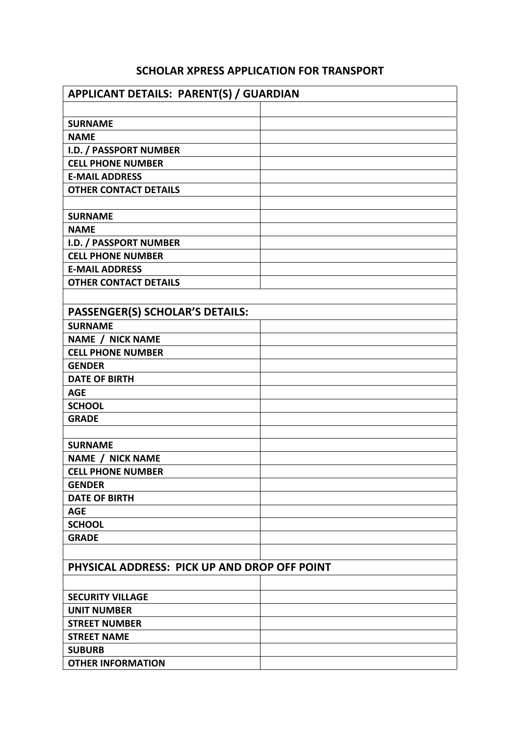## **SCHOLAR XPRESS APPLICATION FOR TRANSPORT**

| APPLICANT DETAILS: PARENT(S) / GUARDIAN      |  |
|----------------------------------------------|--|
|                                              |  |
| <b>SURNAME</b>                               |  |
| <b>NAME</b>                                  |  |
| I.D. / PASSPORT NUMBER                       |  |
| <b>CELL PHONE NUMBER</b>                     |  |
| <b>E-MAIL ADDRESS</b>                        |  |
| <b>OTHER CONTACT DETAILS</b>                 |  |
|                                              |  |
| <b>SURNAME</b>                               |  |
| <b>NAME</b>                                  |  |
| I.D. / PASSPORT NUMBER                       |  |
| <b>CELL PHONE NUMBER</b>                     |  |
| <b>E-MAIL ADDRESS</b>                        |  |
| <b>OTHER CONTACT DETAILS</b>                 |  |
|                                              |  |
| PASSENGER(S) SCHOLAR'S DETAILS:              |  |
| <b>SURNAME</b>                               |  |
| <b>NAME / NICK NAME</b>                      |  |
| <b>CELL PHONE NUMBER</b>                     |  |
| <b>GENDER</b>                                |  |
| <b>DATE OF BIRTH</b>                         |  |
| <b>AGE</b>                                   |  |
| <b>SCHOOL</b>                                |  |
| <b>GRADE</b>                                 |  |
|                                              |  |
| <b>SURNAME</b>                               |  |
| <b>NAME / NICK NAME</b>                      |  |
| <b>CELL PHONE NUMBER</b>                     |  |
| <b>GENDER</b>                                |  |
| <b>DATE OF BIRTH</b>                         |  |
| <b>AGE</b>                                   |  |
| <b>SCHOOL</b>                                |  |
| <b>GRADE</b>                                 |  |
|                                              |  |
| PHYSICAL ADDRESS: PICK UP AND DROP OFF POINT |  |
|                                              |  |
| <b>SECURITY VILLAGE</b>                      |  |
| <b>UNIT NUMBER</b>                           |  |
| <b>STREET NUMBER</b>                         |  |
| <b>STREET NAME</b>                           |  |
| <b>SUBURB</b>                                |  |
| <b>OTHER INFORMATION</b>                     |  |